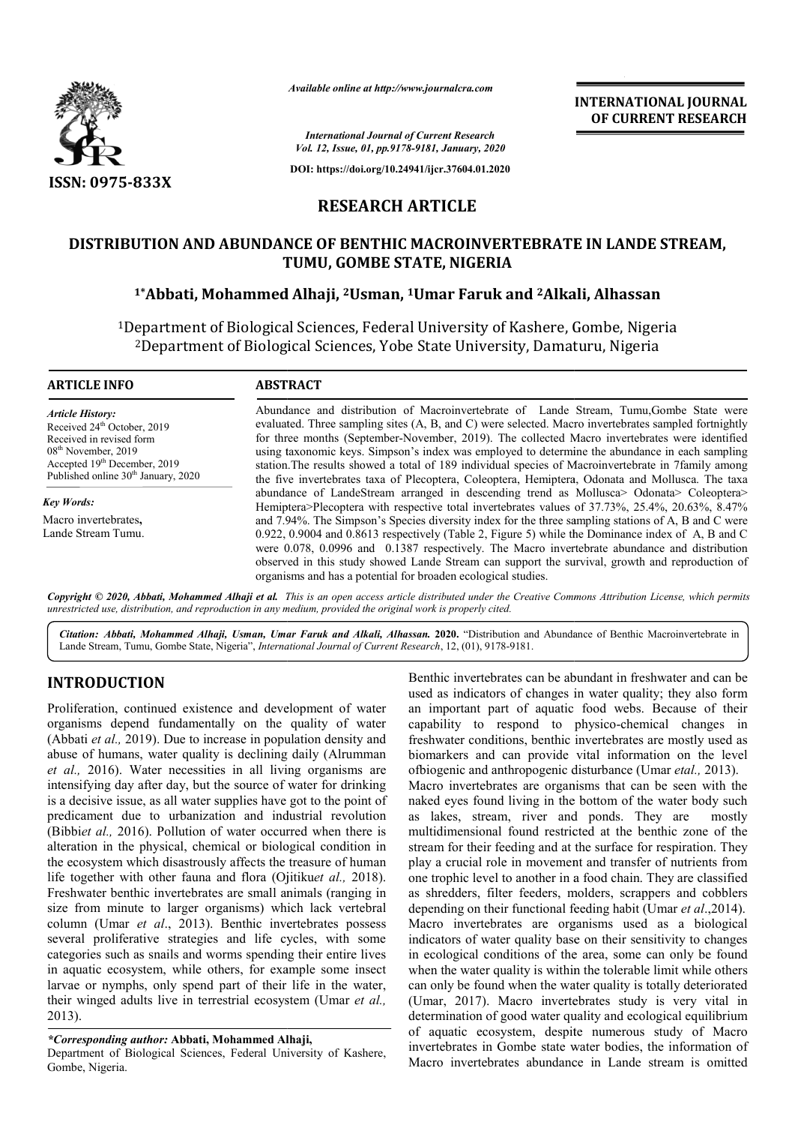

*Available online at http://www.journalcra.com*

**INTERNATIONAL JOURNAL OF CURRENT RESEARCH**

*International Journal of Current Research Vol. 12, Issue, 01, pp.9178-9181, January, 2020*

**DOI: https://doi.org/10.24941/ijcr.37604.01.2020**

# **RESEARCH ARTICLE**

# **DISTRIBUTION AND ABUNDANCE OF BENTHIC MACROINVERTEBRATE IN LANDE STREAM, TUMU, GOMBE STATE, NIGERIA** UTION AND ABUNDANCE OF BENTHIC MACROINVERTEBRATE IN LANDE STREAM,<br>TUMU, GOMBE STATE, NIGERIA<br><sup>1\*</sup>Abbati, Mohammed Alhaji, <sup>2</sup>Usman, <sup>1</sup>Umar Faruk and <sup>2</sup>Alkali, Alhassan

<sup>1</sup>Department of Biological Sciences, Federal University of Kashere, Gombe, Nigeria<br><sup>2</sup>Department of Biological Sciences, Yobe State University, Damaturu, Nigeria epartment of Biological Sciences, Federal University of Kashere, Gombe, Nige<br><sup>2</sup>Department of Biological Sciences, Yobe State University, Damaturu, Nigeria

#### **ARTICLE INFO ABSTRACT**

*Article History:* Received 24<sup>th</sup> October, 2019 Received in revised form 08th November, 2019  $Accepted 19<sup>th</sup> December, 2019$ Published online 30<sup>th</sup> January, 2020

*Key Words:* Macro invertebrates**,** Lande Stream Tumu.

Abundance and distribution of Macroinvertebrate of Lande Stream, Tumu,Gombe State were evaluated. Three sampling sites (A, B, and C) were selected. Macro invertebrates sampled fortnightly Abundance and distribution of Macroinvertebrate of Lande Stream, Tumu,Gombe State were evaluated. Three sampling sites (A, B, and C) were selected. Macro invertebrates sampled fortnightly for three months (September-Novemb using taxonomic keys. Simpson's index was employed to determine the abundance in each sampling station. station.The results showed a total of 189 individual species of Macroinvertebrate in 7family among the five invertebrates taxa of Plecoptera, Coleoptera, Hemiptera, Odonata and Mollusca. The taxa using taxonomic keys. Simpson's index was employed to determine the abundance in each sampling station. The results showed a total of 189 individual species of Macroinvertebrate in 7family among the five invertebrates taxa Hemiptera>Plecoptera with respective total invertebrates values of 37.73%, 25.4%, 20.63%, 8.47% and 7.94% 7.94%. The Simpson's Species diversity index for the three sampling stations of A, B and C were 0.922, 0.9004 and 0.8613 respectively (Table 2, Figure 5) while the Dominance index of A, B and C Hemiptera>Plecoptera with respective total invertebrates values of 37.73%, 25.4%, 20.63%, 8.47% and 7.94%. The Simpson's Species diversity index for the three sampling stations of A, B and C were 0.922, 0.9004 and 0.8613 r observed in this study showed Lande Stream can support the survival, growth and reproduction of organisms and has a potential for broaden ecological studies.

Copyright © 2020, Abbati, Mohammed Alhaji et al. This is an open access article distributed under the Creative Commons Attribution License, which permits *unrestricted use, distribution, and reproduction in any medium, provided the original work is properly cited.*

Citation: Abbati, Mohammed Alhaji, Usman, Umar Faruk and Alkali, Alhassan. 2020. "Distribution and Abundance of Benthic Macroinvertebrate in Lande Stream, Tumu, Gombe State, Nigeria", *International Journal of Current Research*, 12, (01), 9178-9181.

# **INTRODUCTION**

Proliferation, continued existence and development of water organisms depend fundamentally on the quality of water (Abbati *et al.,* 2019). Due to increase in population density and abuse of humans, water quality is declining daily (Alrumman *et al.,* 2016). Water necessities in all living organisms are intensifying day after day, but the source of water for drinking is a decisive issue, as all water supplies have got to the point of predicament due to urbanization and industrial revolution (Bibbi*et al.,* 2016). Pollution of water occurred when there is alteration in the physical, chemical or biological condition in the ecosystem which disastrously affects the treasure of human life together with other fauna and flora (Ojitiku *et al.,* 2018). Freshwater benthic invertebrates are small animals (ranging in size from minute to larger organisms) which lack vertebral column (Umar *et al*., 2013). Benthic invertebrates possess several proliferative strategies and life cycles, with some categories such as snails and worms spending their entire lives in aquatic ecosystem, while others, for example some insect larvae or nymphs, only spend part of their life in the water, their winged adults live in terrestrial ecosystem (Umar *et al.,* 2013). water benthic inver<br>from minute to lar<br>nn (Umar *et al.*, 2<br>al proliferative str<br>ories such as snails

#### *\*Corresponding author:* **Abbati, Mohammed Alhaji Alhaji,**

Department of Biological Sciences, Federal University of Kashere, Gombe, Nigeria.

Benthic invertebrates can be abundant in freshwater and can be used as indicators of changes in water quality; they also form an important part of aquatic food webs. Because of their capability to respond to physico-chemical changes in freshwater conditions, benthic invertebrates are mostly used as biomarkers and can provide vital information on the level freshwater conditions, benthic invertebrates are mostly used a biomarkers and can provide vital information on the lev ofbiogenic and anthropogenic disturbance (Umar *etal.*, 2013). Macro invertebrates are organisms that can be seen with the naked eyes found living in the bottom of the water body such as lakes, stream, river and ponds. They are mostly multidimensional found restricted at the benthic zone of the stream for their feeding and at the surface for respiration. They play a crucial role in movement and transfer of nutrients from one trophic level to another in a food chain. They are classified as shredders, filter feeders, molders, scrappers and cobblers depending on their functional feeding habit (Umar et al., 2014). Macro invertebrates are organisms used as a biological indicators of water quality base on their sensitivity to changes in ecological conditions of the area, some can only be found when the water quality is within the tolerable limit while others can only be found when the water quality is totally deteriorated (Umar, 2017). Macro invertebrates study is very vital in determination of good water quality and ecological equilibrium of aquatic ecosystem, despite numerous study of Macro invertebrates in Gombe state water bodies, the information of Macro invertebrates abundance in Lande stream is omitted Benthic invertebrates can be abundant in freshwater and can be used as indicators of changes in water quality; they also form an important part of aquatic food webs. Because of their capability to respond to physico-chemic as lakes, stream, river and ponds. They are mostly multidimensional found restricted at the benthic zone of the stream for their feeding and at the surface for respiration. They play a crucial role in movement and transfer et trophic level to another in a food chain. They are classified shredders, filter feeders, molders, scrappers and cobblers ending on their functional feeding habit (Umar *et al.*,2014). of water quality base on their sensitivity to changes<br>ical conditions of the area, some can only be found<br>water quality is within the tolerable limit while others<br>be found when the water quality is totally deteriorated invertebrates vital good numerous rates abundance in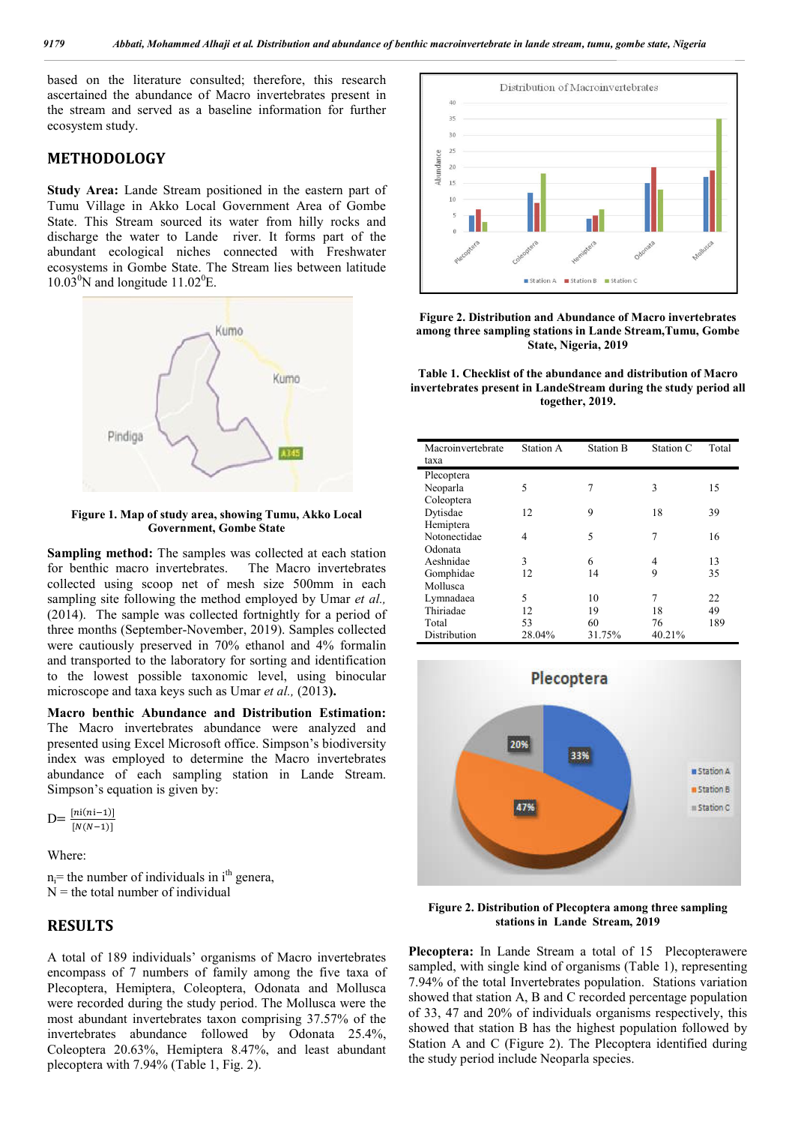based on the literature consulted; therefore, this research ascertained the abundance of Macro invertebrates present in the stream and served as a baseline information for further ecosystem study.

### **METHODOLOGY**

**Study Area:** Lande Stream positioned in the eastern part of Tumu Village in Akko Local Government Area of Gombe State. This Stream sourced its water from hilly rocks and discharge the water to Lande river. It forms part of the abundant ecological niches connected with Freshwater ecosystems in Gombe State. The Stream lies between latitude  $10.03^0$ N and longitude  $11.02^0$ E.



**Figure 1. Map of study area, showing Tumu, Akko Local Government, Gombe State**

**Sampling method:** The samples was collected at each station for benthic macro invertebrates. The Macro invertebrates collected using scoop net of mesh size 500mm in each sampling site following the method employed by Umar *et al.,* (2014). The sample was collected fortnightly for a period of three months (September-November, 2019). Samples collected were cautiously preserved in 70% ethanol and 4% formalin and transported to the laboratory for sorting and identification to the lowest possible taxonomic level, using binocular microscope and taxa keys such as Umar *et al.,* (2013**).**

**Macro benthic Abundance and Distribution Estimation:**  The Macro invertebrates abundance were analyzed and presented using Excel Microsoft office. Simpson's biodiversity index was employed to determine the Macro invertebrates abundance of each sampling station in Lande Stream. Simpson's equation is given by:

$$
D = \frac{\left[ni(n-1)\right]}{\left[N(N-1)\right]}
$$

Where:

 $n_i$ = the number of individuals in i<sup>th</sup> genera,  $N =$  the total number of individual

### **RESULTS**

A total of 189 individuals' organisms of Macro invertebrates encompass of 7 numbers of family among the five taxa of Plecoptera, Hemiptera, Coleoptera, Odonata and Mollusca were recorded during the study period. The Mollusca were the most abundant invertebrates taxon comprising 37.57% of the invertebrates abundance followed by Odonata 25.4%, Coleoptera 20.63%, Hemiptera 8.47%, and least abundant plecoptera with 7.94% (Table 1, Fig. 2).



**Figure 2. Distribution and Abundance of Macro invertebrates among three sampling stations in Lande Stream,Tumu, Gombe State, Nigeria, 2019**

**Table 1. Checklist of the abundance and distribution of Macro invertebrates present in LandeStream during the study period all together, 2019.**

| Macroinvertebrate<br>taxa | Station A | <b>Station B</b> | Station C | Total |
|---------------------------|-----------|------------------|-----------|-------|
| Plecoptera                |           |                  |           |       |
| Neoparla                  | 5         | 7                | 3         | 15    |
| Coleoptera                |           |                  |           |       |
| Dytisdae                  | 12        | 9                | 18        | 39    |
| Hemiptera                 |           |                  |           |       |
| Notonectidae              | 4         | 5                | 7         | 16    |
| Odonata                   |           |                  |           |       |
| Aeshnidae                 | 3         | 6                | 4         | 13    |
| Gomphidae                 | 12        | 14               | 9         | 35    |
| Mollusca                  |           |                  |           |       |
| Lymnadaea                 | 5         | 10               | 7         | 22    |
| Thiriadae                 | 12        | 19               | 18        | 49    |
| Total                     | 53        | 60               | 76        | 189   |
| Distribution              | 28.04%    | 31.75%           | 40.21%    |       |



**Figure 2. Distribution of Plecoptera among three sampling stations in Lande Stream, 2019**

**Plecoptera:** In Lande Stream a total of 15 Plecopterawere sampled, with single kind of organisms (Table 1), representing 7.94% of the total Invertebrates population. Stations variation showed that station A, B and C recorded percentage population of 33, 47 and 20% of individuals organisms respectively, this showed that station B has the highest population followed by Station A and C (Figure 2). The Plecoptera identified during the study period include Neoparla species.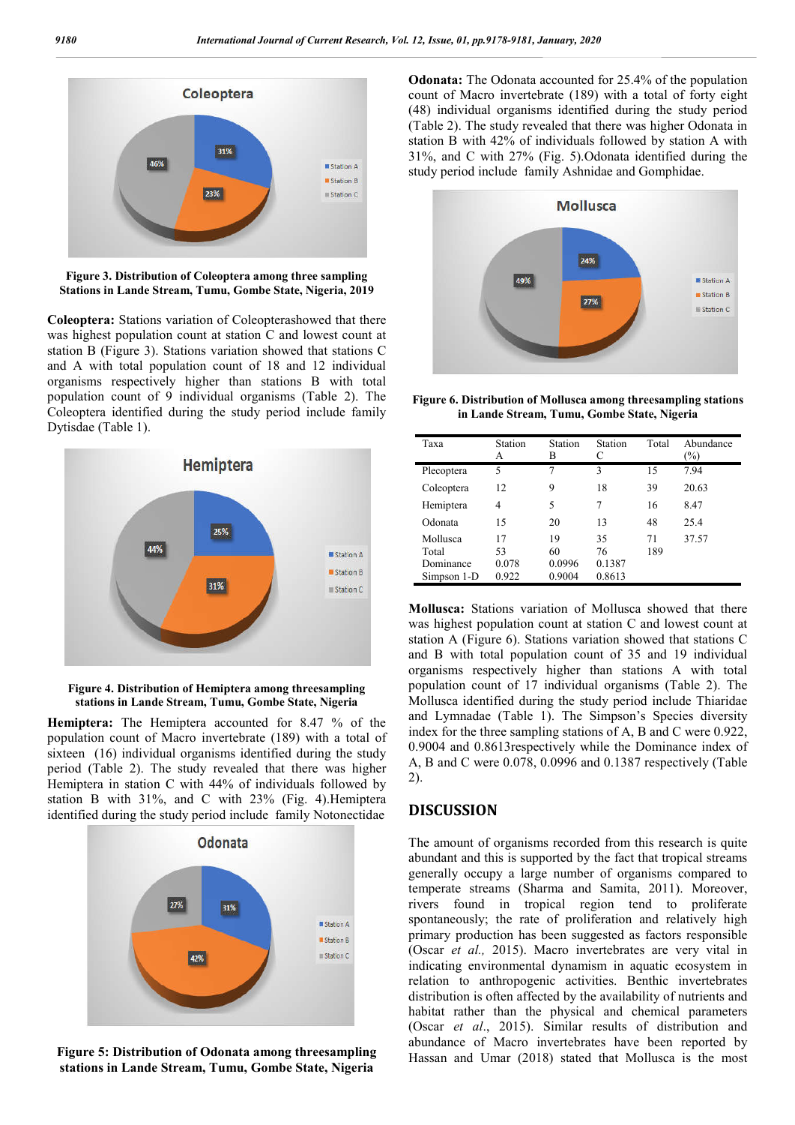

**Figure 3. Distribution of Coleoptera among three sampling Stations in Lande Stream, Tumu, Gombe State, Nigeria, 2019**

**Coleoptera:** Stations variation of Coleopterashowed that there was highest population count at station C and lowest count at station B (Figure 3). Stations variation showed that stations C and A with total population count of 18 and 12 individual organisms respectively higher than stations B with total population count of 9 individual organisms (Table 2). The Coleoptera identified during the study period include family Dytisdae (Table 1).



**Figure 4. Distribution of Hemiptera among threesampling stations in Lande Stream, Tumu, Gombe State, Nigeria**

**Hemiptera:** The Hemiptera accounted for 8.47 % of the population count of Macro invertebrate (189) with a total of sixteen (16) individual organisms identified during the study period (Table 2). The study revealed that there was higher Hemiptera in station C with 44% of individuals followed by station B with 31%, and C with 23% (Fig. 4).Hemiptera identified during the study period include family Notonectidae



**Figure 5: Distribution of Odonata among threesampling stations in Lande Stream, Tumu, Gombe State, Nigeria**

**Odonata:** The Odonata accounted for 25.4% of the population count of Macro invertebrate (189) with a total of forty eight (48) individual organisms identified during the study period (Table 2). The study revealed that there was higher Odonata in station B with 42% of individuals followed by station A with 31%, and C with 27% (Fig. 5).Odonata identified during the study period include family Ashnidae and Gomphidae.



**Figure 6. Distribution of Mollusca among threesampling stations in Lande Stream, Tumu, Gombe State, Nigeria**

| Taxa        | Station<br>А | Station<br>в | Station<br>C | Total | Abundance<br>$\frac{1}{2}$ |
|-------------|--------------|--------------|--------------|-------|----------------------------|
| Plecoptera  | 5            | 7            | 3            | 15    | 7.94                       |
| Coleoptera  | 12           | 9            | 18           | 39    | 20.63                      |
| Hemiptera   | 4            | 5            | 7            | 16    | 8.47                       |
| Odonata     | 15           | 20           | 13           | 48    | 25.4                       |
| Mollusca    | 17           | 19           | 35           | 71    | 37.57                      |
| Total       | 53           | 60           | 76           | 189   |                            |
| Dominance   | 0.078        | 0.0996       | 0.1387       |       |                            |
| Simpson 1-D | 0.922        | 0.9004       | 0.8613       |       |                            |

**Mollusca:** Stations variation of Mollusca showed that there was highest population count at station C and lowest count at station A (Figure 6). Stations variation showed that stations C and B with total population count of 35 and 19 individual organisms respectively higher than stations A with total population count of 17 individual organisms (Table 2). The Mollusca identified during the study period include Thiaridae and Lymnadae (Table 1). The Simpson's Species diversity index for the three sampling stations of A, B and C were 0.922, 0.9004 and 0.8613respectively while the Dominance index of A, B and C were 0.078, 0.0996 and 0.1387 respectively (Table 2).

# **DISCUSSION**

The amount of organisms recorded from this research is quite abundant and this is supported by the fact that tropical streams generally occupy a large number of organisms compared to temperate streams (Sharma and Samita, 2011). Moreover, rivers found in tropical region tend to proliferate spontaneously; the rate of proliferation and relatively high primary production has been suggested as factors responsible (Oscar *et al.,* 2015). Macro invertebrates are very vital in indicating environmental dynamism in aquatic ecosystem in relation to anthropogenic activities. Benthic invertebrates distribution is often affected by the availability of nutrients and habitat rather than the physical and chemical parameters (Oscar *et al*., 2015). Similar results of distribution and abundance of Macro invertebrates have been reported by Hassan and Umar (2018) stated that Mollusca is the most